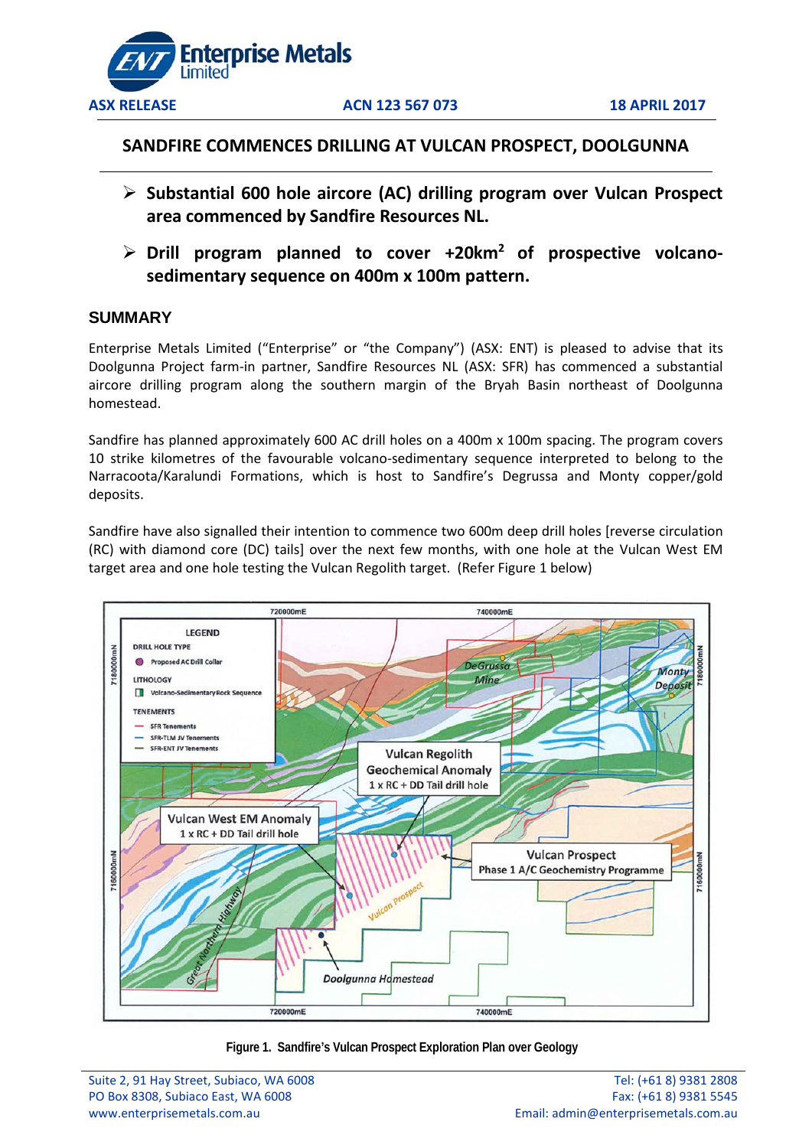

**ASX RELEASE ACN 123 567 073 18 APRIL 2017**

# **SANDFIRE COMMENCES DRILLING AT VULCAN PROSPECT, DOOLGUNNA**

- **Substantial 600 hole aircore (AC) drilling program over Vulcan Prospect area commenced by Sandfire Resources NL.**
- **Drill program planned to cover +20km2 of prospective volcanosedimentary sequence on 400m x 100m pattern.**

# **SUMMARY**

Enterprise Metals Limited ("Enterprise" or "the Company") (ASX: ENT) is pleased to advise that its Doolgunna Project farm-in partner, Sandfire Resources NL (ASX: SFR) has commenced a substantial aircore drilling program along the southern margin of the Bryah Basin northeast of Doolgunna homestead.

Sandfire has planned approximately 600 AC drill holes on a 400m x 100m spacing. The program covers 10 strike kilometres of the favourable volcano-sedimentary sequence interpreted to belong to the Narracoota/Karalundi Formations, which is host to Sandfire's Degrussa and Monty copper/gold deposits.

Sandfire have also signalled their intention to commence two 600m deep drill holes [reverse circulation (RC) with diamond core (DC) tails] over the next few months, with one hole at the Vulcan West EM target area and one hole testing the Vulcan Regolith target. (Refer Figure 1 below)



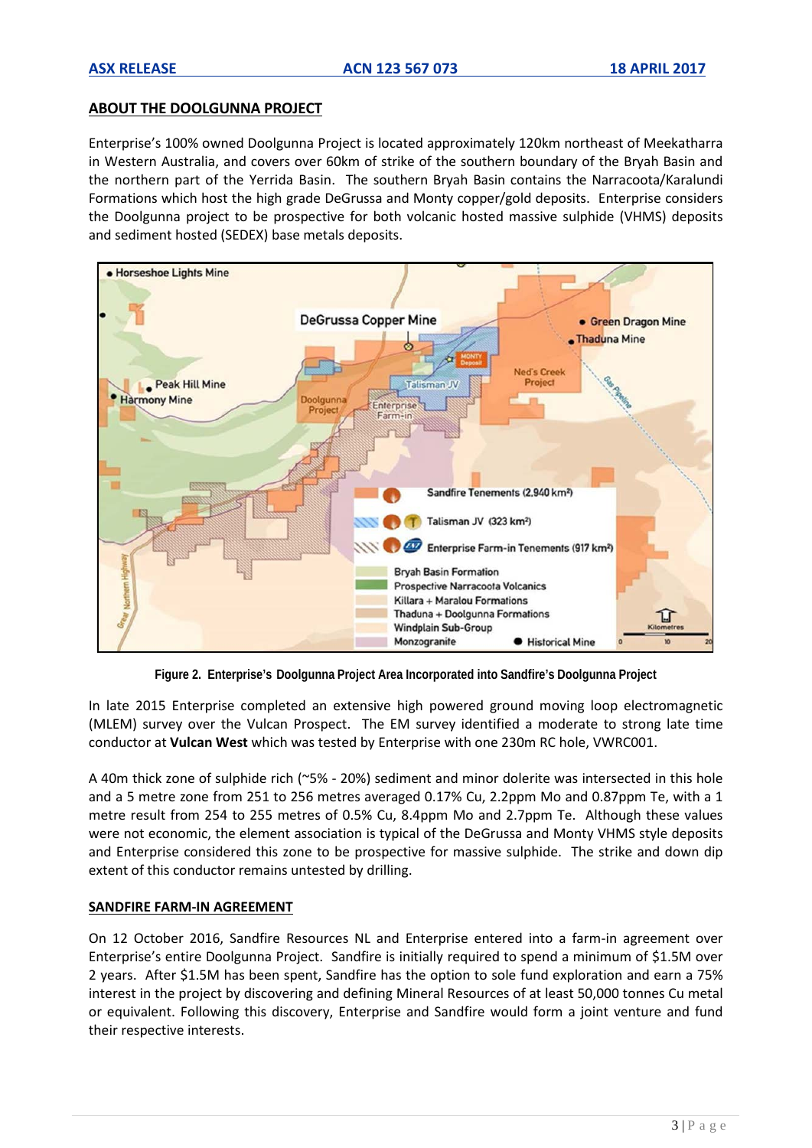# **ABOUT THE DOOLGUNNA PROJECT**

Enterprise's 100% owned Doolgunna Project is located approximately 120km northeast of Meekatharra in Western Australia, and covers over 60km of strike of the southern boundary of the Bryah Basin and the northern part of the Yerrida Basin. The southern Bryah Basin contains the Narracoota/Karalundi Formations which host the high grade DeGrussa and Monty copper/gold deposits. Enterprise considers the Doolgunna project to be prospective for both volcanic hosted massive sulphide (VHMS) deposits and sediment hosted (SEDEX) base metals deposits.



**Figure 2. Enterprise's Doolgunna Project Area Incorporated into Sandfire's Doolgunna Project**

In late 2015 Enterprise completed an extensive high powered ground moving loop electromagnetic (MLEM) survey over the Vulcan Prospect. The EM survey identified a moderate to strong late time conductor at **Vulcan West** which was tested by Enterprise with one 230m RC hole, VWRC001.

A 40m thick zone of sulphide rich (~5% - 20%) sediment and minor dolerite was intersected in this hole and a 5 metre zone from 251 to 256 metres averaged 0.17% Cu, 2.2ppm Mo and 0.87ppm Te, with a 1 metre result from 254 to 255 metres of 0.5% Cu, 8.4ppm Mo and 2.7ppm Te. Although these values were not economic, the element association is typical of the DeGrussa and Monty VHMS style deposits and Enterprise considered this zone to be prospective for massive sulphide. The strike and down dip extent of this conductor remains untested by drilling.

## **SANDFIRE FARM-IN AGREEMENT**

On 12 October 2016, Sandfire Resources NL and Enterprise entered into a farm-in agreement over Enterprise's entire Doolgunna Project. Sandfire is initially required to spend a minimum of \$1.5M over 2 years. After \$1.5M has been spent, Sandfire has the option to sole fund exploration and earn a 75% interest in the project by discovering and defining Mineral Resources of at least 50,000 tonnes Cu metal or equivalent. Following this discovery, Enterprise and Sandfire would form a joint venture and fund their respective interests.